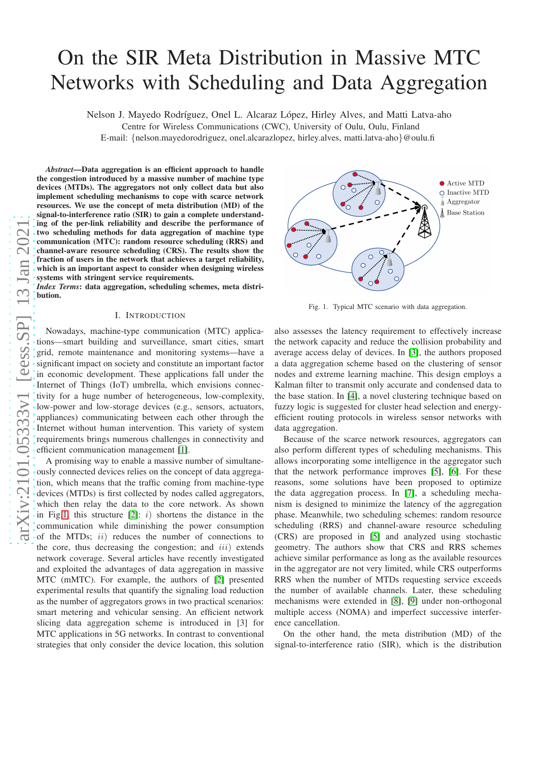# On the SIR Meta Distribution in Massive MTC Networks with Scheduling and Data Aggregation

Nelson J. Mayedo Rodríguez, Onel L. Alcaraz López, Hirley Alves, and Matti Latva-aho

Centre for Wireless Communications (CWC), University of Oulu, Oulu, Finland E-mail: {nelson.mayedorodriguez, onel.alcarazlopez, hirley.alves, matti.latva-aho}@oulu.fi

*Abstract*—Data aggregation is an efficient approach to handle the congestion introduced by a massive number of machine type devices (MTDs). The aggregators not only collect data but also implement scheduling mechanisms to cope with scarce network resources. We use the concept of meta distribution (MD) of the signal-to-interference ratio (SIR) to gain a complete understanding of the per-link reliability and describe the performance of two scheduling methods for data aggregation of machine type communication (MTC): random resource scheduling (RRS) and channel-aware resource scheduling (CRS). The results show the fraction of users in the network that achieves a target reliability, which is an important aspect to consider when designing wireless systems with stringent service requirements.

*Index Terms*: data aggregation, scheduling schemes, meta distribution.

#### I. INTRODUCTION

Nowadays, machine-type communication (MTC) applications—smart building and surveillance, smart cities, smart grid, remote maintenance and monitoring systems—have a significant impact on society and constitute an important factor in economic development. These applications fall under the Internet of Things (IoT) umbrella, which envisions connectivity for a huge number of heterogeneous, low-complexity, low-power and low-storage devices (e.g., sensors, actuators, appliances) communicating between each other through the Internet without human intervention. This variety of system requirements brings numerous challenges in connectivity and efficient communication management [\[1\]](#page-5-0).

A promising way to enable a massive number of simultaneously connected devices relies on the concept of data aggregation, which means that the traffic coming from machine-type devices (MTDs) is first collected by nodes called aggregators, which then relay the data to the core network. As shown in Fig[.1,](#page-0-0) this structure  $[2]$ : i) shortens the distance in the communication while diminishing the power consumption of the MTDs; ii) reduces the number of connections to the core, thus decreasing the congestion; and  $iii$ ) extends network coverage. Several articles have recently investigated and exploited the advantages of data aggregation in massive MTC (mMTC). For example, the authors of [\[2\]](#page-5-1) presented experimental results that quantify the signaling load reduction as the number of aggregators grows in two practical scenarios: smart metering and vehicular sensing. An efficient network slicing data aggregation scheme is introduced in [3] for MTC applications in 5G networks. In contrast to conventional strategies that only consider the device location, this solution



<span id="page-0-0"></span>Fig. 1. Typical MTC scenario with data aggregation.

also assesses the latency requirement to effectively increase the network capacity and reduce the collision probability and average access delay of devices. In [\[3\]](#page-5-2), the authors proposed a data aggregation scheme based on the clustering of sensor nodes and extreme learning machine. This design employs a Kalman filter to transmit only accurate and condensed data to the base station. In [\[4\]](#page-5-3), a novel clustering technique based on fuzzy logic is suggested for cluster head selection and energyefficient routing protocols in wireless sensor networks with data aggregation.

Because of the scarce network resources, aggregators can also perform different types of scheduling mechanisms. This allows incorporating some intelligence in the aggregator such that the network performance improves [\[5\]](#page-5-4), [\[6\]](#page-5-5). For these reasons, some solutions have been proposed to optimize the data aggregation process. In [\[7\]](#page-5-6), a scheduling mechanism is designed to minimize the latency of the aggregation phase. Meanwhile, two scheduling schemes: random resource scheduling (RRS) and channel-aware resource scheduling (CRS) are proposed in [\[5\]](#page-5-4) and analyzed using stochastic geometry. The authors show that CRS and RRS schemes achieve similar performance as long as the available resources in the aggregator are not very limited, while CRS outperforms RRS when the number of MTDs requesting service exceeds the number of available channels. Later, these scheduling mechanisms were extended in [\[8\]](#page-5-7), [\[9\]](#page-5-8) under non-orthogonal multiple access (NOMA) and imperfect successive interference cancellation.

On the other hand, the meta distribution (MD) of the signal-to-interference ratio (SIR), which is the distribution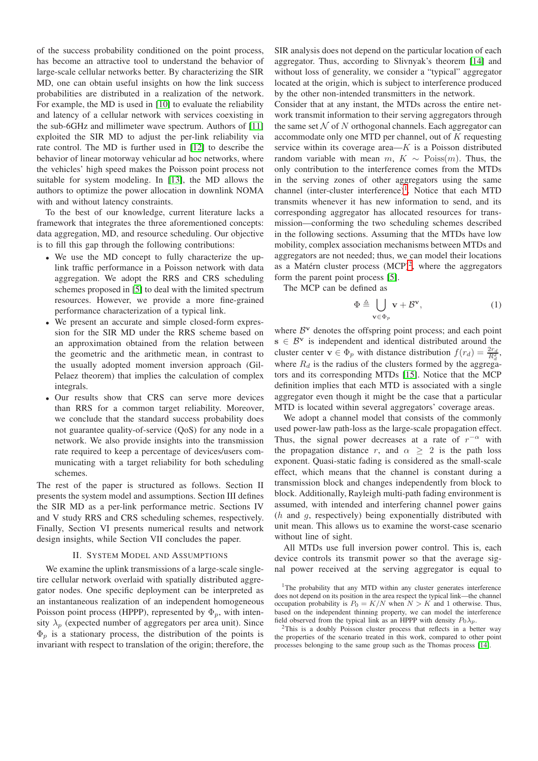of the success probability conditioned on the point process, has become an attractive tool to understand the behavior of large-scale cellular networks better. By characterizing the SIR MD, one can obtain useful insights on how the link success probabilities are distributed in a realization of the network. For example, the MD is used in [\[10\]](#page-5-9) to evaluate the reliability and latency of a cellular network with services coexisting in the sub-6GHz and millimeter wave spectrum. Authors of [\[11\]](#page-5-10) exploited the SIR MD to adjust the per-link reliability via rate control. The MD is further used in [\[12\]](#page-5-11) to describe the behavior of linear motorway vehicular ad hoc networks, where the vehicles' high speed makes the Poisson point process not suitable for system modeling. In [\[13\]](#page-5-12), the MD allows the authors to optimize the power allocation in downlink NOMA with and without latency constraints.

To the best of our knowledge, current literature lacks a framework that integrates the three aforementioned concepts: data aggregation, MD, and resource scheduling. Our objective is to fill this gap through the following contributions:

- We use the MD concept to fully characterize the uplink traffic performance in a Poisson network with data aggregation. We adopt the RRS and CRS scheduling schemes proposed in [\[5\]](#page-5-4) to deal with the limited spectrum resources. However, we provide a more fine-grained performance characterization of a typical link.
- We present an accurate and simple closed-form expression for the SIR MD under the RRS scheme based on an approximation obtained from the relation between the geometric and the arithmetic mean, in contrast to the usually adopted moment inversion approach (Gil-Pelaez theorem) that implies the calculation of complex integrals.
- Our results show that CRS can serve more devices than RRS for a common target reliability. Moreover, we conclude that the standard success probability does not guarantee quality-of-service (QoS) for any node in a network. We also provide insights into the transmission rate required to keep a percentage of devices/users communicating with a target reliability for both scheduling schemes.

The rest of the paper is structured as follows. Section II presents the system model and assumptions. Section III defines the SIR MD as a per-link performance metric. Sections IV and V study RRS and CRS scheduling schemes, respectively. Finally, Section VI presents numerical results and network design insights, while Section VII concludes the paper.

#### II. SYSTEM MODEL AND ASSUMPTIONS

We examine the uplink transmissions of a large-scale singletire cellular network overlaid with spatially distributed aggregator nodes. One specific deployment can be interpreted as an instantaneous realization of an independent homogeneous Poisson point process (HPPP), represented by  $\Phi_p$ , with intensity  $\lambda_p$  (expected number of aggregators per area unit). Since  $\Phi_p$  is a stationary process, the distribution of the points is invariant with respect to translation of the origin; therefore, the

SIR analysis does not depend on the particular location of each aggregator. Thus, according to Slivnyak's theorem [\[14\]](#page-5-13) and without loss of generality, we consider a "typical" aggregator located at the origin, which is subject to interference produced by the other non-intended transmitters in the network.

Consider that at any instant, the MTDs across the entire network transmit information to their serving aggregators through the same set  $N$  of N orthogonal channels. Each aggregator can accommodate only one MTD per channel, out of  $K$  requesting service within its coverage area— $K$  is a Poisson distributed random variable with mean  $m, K \sim \text{Poiss}(m)$ . Thus, the only contribution to the interference comes from the MTDs in the serving zones of other aggregators using the same channel (inter-cluster interference)<sup>[1](#page-1-0)</sup>. Notice that each MTD transmits whenever it has new information to send, and its corresponding aggregator has allocated resources for transmission—conforming the two scheduling schemes described in the following sections. Assuming that the MTDs have low mobility, complex association mechanisms between MTDs and aggregators are not needed; thus, we can model their locations as a Matérn cluster process  $(MCP)^2$  $(MCP)^2$ , where the aggregators form the parent point process [\[5\]](#page-5-4).

The MCP can be defined as

$$
\Phi \triangleq \bigcup_{\mathbf{v} \in \Phi_p} \mathbf{v} + \mathcal{B}^{\mathbf{v}},\tag{1}
$$

where  $B^v$  denotes the offspring point process; and each point  $s \in \mathcal{B}^{\mathbf{v}}$  is independent and identical distributed around the cluster center  $\mathbf{v} \in \Phi_p$  with distance distribution  $f(r_d) = \frac{2r_d}{R_d^2}$ , where  $R_d$  is the radius of the clusters formed by the aggregators and its corresponding MTDs [\[15\]](#page-5-14). Notice that the MCP definition implies that each MTD is associated with a single aggregator even though it might be the case that a particular MTD is located within several aggregators' coverage areas.

We adopt a channel model that consists of the commonly used power-law path-loss as the large-scale propagation effect. Thus, the signal power decreases at a rate of  $r^{-\alpha}$  with the propagation distance r, and  $\alpha \geq 2$  is the path loss exponent. Quasi-static fading is considered as the small-scale effect, which means that the channel is constant during a transmission block and changes independently from block to block. Additionally, Rayleigh multi-path fading environment is assumed, with intended and interfering channel power gains  $(h$  and  $g$ , respectively) being exponentially distributed with unit mean. This allows us to examine the worst-case scenario without line of sight.

All MTDs use full inversion power control. This is, each device controls its transmit power so that the average signal power received at the serving aggregator is equal to

<span id="page-1-1"></span><sup>2</sup>This is a doubly Poisson cluster process that reflects in a better way the properties of the scenario treated in this work, compared to other point processes belonging to the same group such as the Thomas process [\[14\]](#page-5-13).

<span id="page-1-0"></span><sup>&</sup>lt;sup>1</sup>The probability that any MTD within any cluster generates interference does not depend on its position in the area respect the typical link—the channel occupation probability is  $P_0 = K/N$  when  $N > K$  and 1 otherwise. Thus, based on the independent thinning property, we can model the interference field observed from the typical link as an HPPP with density  $P_0\lambda_p$ .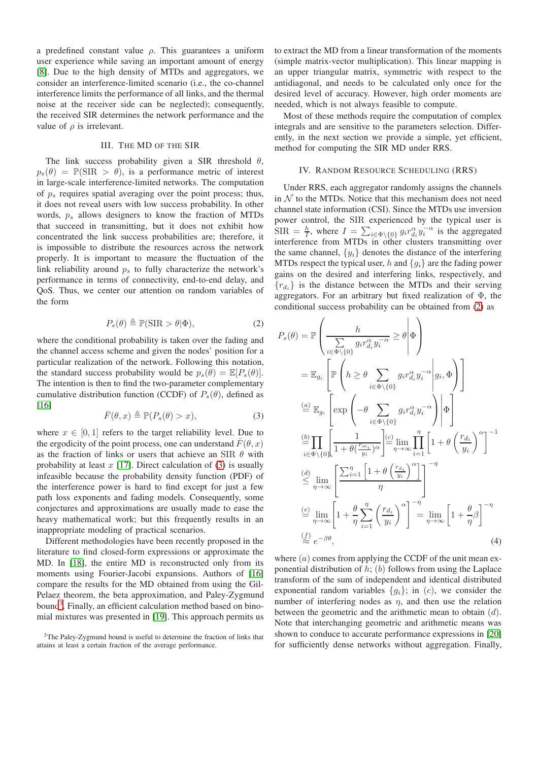a predefined constant value  $\rho$ . This guarantees a uniform user experience while saving an important amount of energy [\[8\]](#page-5-7). Due to the high density of MTDs and aggregators, we consider an interference-limited scenario (i.e., the co-channel interference limits the performance of all links, and the thermal noise at the receiver side can be neglected); consequently, the received SIR determines the network performance and the value of  $\rho$  is irrelevant.

## III. THE MD OF THE SIR

The link success probability given a SIR threshold  $\theta$ ,  $p_s(\theta) = \mathbb{P}(\text{SIR} > \theta)$ , is a performance metric of interest in large-scale interference-limited networks. The computation of  $p_s$  requires spatial averaging over the point process; thus, it does not reveal users with low success probability. In other words,  $p_s$  allows designers to know the fraction of MTDs that succeed in transmitting, but it does not exhibit how concentrated the link success probabilities are; therefore, it is impossible to distribute the resources across the network properly. It is important to measure the fluctuation of the link reliability around  $p<sub>s</sub>$  to fully characterize the network's performance in terms of connectivity, end-to-end delay, and QoS. Thus, we center our attention on random variables of the form

<span id="page-2-2"></span>
$$
P_s(\theta) \triangleq \mathbb{P}(\text{SIR} > \theta | \Phi), \tag{2}
$$

where the conditional probability is taken over the fading and the channel access scheme and given the nodes' position for a particular realization of the network. Following this notation, the standard success probability would be  $p_s(\theta) = \mathbb{E}[P_s(\theta)].$ The intention is then to find the two-parameter complementary cumulative distribution function (CCDF) of  $P_s(\theta)$ , defined as [\[16\]](#page-5-15)

<span id="page-2-0"></span>
$$
\bar{F}(\theta, x) \triangleq \mathbb{P}(P_s(\theta) > x),\tag{3}
$$

where  $x \in [0, 1]$  refers to the target reliability level. Due to the ergodicity of the point process, one can understand  $\bar{F}(\theta, x)$ as the fraction of links or users that achieve an SIR  $\theta$  with probability at least  $x$  [\[17\]](#page-5-16). Direct calculation of [\(3\)](#page-2-0) is usually infeasible because the probability density function (PDF) of the interference power is hard to find except for just a few path loss exponents and fading models. Consequently, some conjectures and approximations are usually made to ease the heavy mathematical work; but this frequently results in an inappropriate modeling of practical scenarios.

Different methodologies have been recently proposed in the literature to find closed-form expressions or approximate the MD. In [\[18\]](#page-5-17), the entire MD is reconstructed only from its moments using Fourier-Jacobi expansions. Authors of [\[16\]](#page-5-15) compare the results for the MD obtained from using the Gil-Pelaez theorem, the beta approximation, and Paley-Zygmund bound<sup>[3](#page-2-1)</sup>. Finally, an efficient calculation method based on binomial mixtures was presented in [\[19\]](#page-5-18). This approach permits us

to extract the MD from a linear transformation of the moments (simple matrix-vector multiplication). This linear mapping is an upper triangular matrix, symmetric with respect to the antidiagonal, and needs to be calculated only once for the desired level of accuracy. However, high order moments are needed, which is not always feasible to compute.

Most of these methods require the computation of complex integrals and are sensitive to the parameters selection. Differently, in the next section we provide a simple, yet efficient, method for computing the SIR MD under RRS.

#### IV. RANDOM RESOURCE SCHEDULING (RRS)

Under RRS, each aggregator randomly assigns the channels in  $N$  to the MTDs. Notice that this mechanism does not need channel state information (CSI). Since the MTDs use inversion power control, the SIR experienced by the typical user is  $\text{SIR} = \frac{h}{I}$ , where  $I = \sum_{i \in \Phi \setminus \{0\}} g_i r_{d_i}^{\alpha} y_i^{-\alpha}$  is the aggregated interference from MTDs in other clusters transmitting over the same channel,  $\{y_i\}$  denotes the distance of the interfering MTDs respect the typical user, h and  $\{q_i\}$  are the fading power gains on the desired and interfering links, respectively, and  ${r_{d_i}}$  is the distance between the MTDs and their serving aggregators. For an arbitrary but fixed realization of Φ, the conditional success probability can be obtained from [\(2\)](#page-2-2) as

$$
P_s(\theta) = \mathbb{P}\left(\frac{h}{\sum_{i \in \Phi \setminus \{0\}} g_i r_{d_i}^{\alpha} y_i^{-\alpha}} \geq \theta \middle| \Phi\right)
$$
  
\n
$$
= \mathbb{E}_{g_i} \left[\mathbb{P}\left(h \geq \theta \sum_{i \in \Phi \setminus \{0\}} g_i r_{d_i}^{\alpha} y_i^{-\alpha} \middle| g_i, \Phi\right)\right]
$$
  
\n
$$
\stackrel{(a)}{=} \mathbb{E}_{g_i} \left[\exp\left(-\theta \sum_{i \in \Phi \setminus \{0\}} g_i r_{d_i}^{\alpha} y_i^{-\alpha} \middle| \Phi\right]\right]
$$
  
\n
$$
\stackrel{(b)}{=} \prod_{i \in \Phi \setminus \{0\}} \left[\frac{1}{1 + \theta(\frac{r_{m_i}}{y_i})^{\alpha}}\right] \stackrel{(c)}{=} \lim_{\eta \to \infty} \prod_{i=1}^{\eta} \left[1 + \theta\left(\frac{r_{d_i}}{y_i}\right)^{\alpha}\right]^{-1}
$$
  
\n
$$
\stackrel{(d)}{\leq} \lim_{\eta \to \infty} \left[\frac{\sum_{i=1}^{\eta} \left[1 + \theta\left(\frac{r_{d_i}}{y_i}\right)^{\alpha}\right]}{\eta}\right]^{-\eta}
$$
  
\n
$$
\stackrel{(e)}{=} \lim_{\eta \to \infty} \left[1 + \frac{\theta}{\eta} \sum_{i=1}^{\eta} \left(\frac{r_{d_i}}{y_i}\right)^{\alpha}\right]^{-\eta} = \lim_{\eta \to \infty} \left[1 + \frac{\theta}{\eta} \beta\right]^{-\eta}
$$
  
\n
$$
\stackrel{(f)}{\approx} e^{-\beta\theta}, \tag{4}
$$

<span id="page-2-3"></span>where  $(a)$  comes from applying the CCDF of the unit mean exponential distribution of  $h$ ; (b) follows from using the Laplace transform of the sum of independent and identical distributed exponential random variables  ${g_i}$ ; in (c), we consider the number of interfering nodes as  $\eta$ , and then use the relation between the geometric and the arithmetic mean to obtain  $(d)$ . Note that interchanging geometric and arithmetic means was shown to conduce to accurate performance expressions in [\[20\]](#page-5-19) for sufficiently dense networks without aggregation. Finally,

<span id="page-2-1"></span><sup>&</sup>lt;sup>3</sup>The Paley-Zygmund bound is useful to determine the fraction of links that attains at least a certain fraction of the average performance.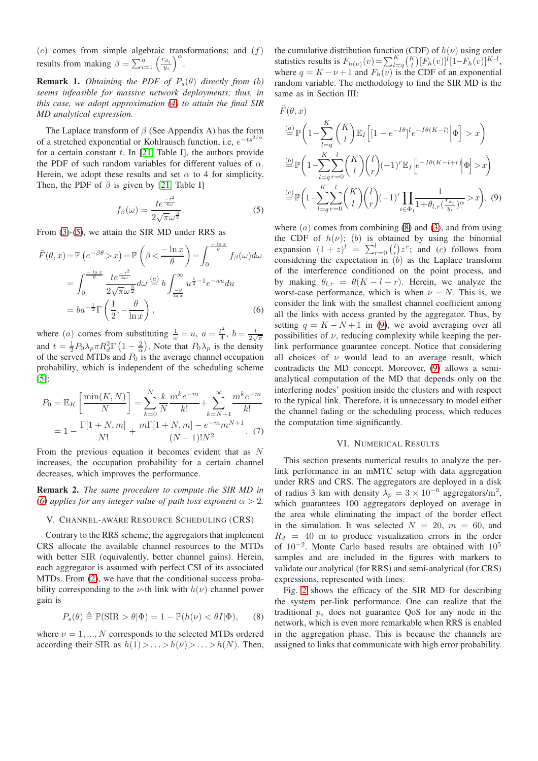$(e)$  comes from simple algebraic transformations; and  $(f)$ results from making  $\beta = \sum_{i=1}^{\eta} \left( \frac{r_{d_i}}{y_i} \right)^{\alpha}$ .

**Remark 1.** *Obtaining the PDF of*  $P_s(\theta)$  *directly from (b) seems infeasible for massive network deployments; thus, in this case, we adopt approximation [\(4\)](#page-2-3) to attain the final SIR MD analytical expression.*

The Laplace transform of  $\beta$  (See Appendix A) has the form of a stretched exponential or Kohlrausch function, i.e,  $e^{-ts^{2/\alpha}}$ for a certain constant  $t$ . In [\[21,](#page-5-20) Table I], the authors provide the PDF of such random variables for different values of  $\alpha$ . Herein, we adopt these results and set  $\alpha$  to 4 for simplicity. Then, the PDF of  $\beta$  is given by [\[21,](#page-5-20) Table I]

$$
f_{\beta}(\omega) = \frac{te^{\frac{-t^2}{4\omega}}}{2\sqrt{\pi}\omega^{\frac{3}{2}}}.
$$
 (5)

From [\(3\)](#page-2-0)-[\(5\)](#page-3-0), we attain the SIR MD under RRS as

$$
\bar{F}(\theta, x) = \mathbb{P}\left(e^{-\beta \theta} > x\right) = \mathbb{P}\left(\beta < \frac{-\ln x}{\theta}\right) = \int_0^{\frac{-\ln x}{\theta}} f_{\beta}(\omega) d\omega
$$

$$
= \int_0^{\frac{-\ln x}{\theta}} \frac{te^{\frac{-t^2}{4\omega}}}{2\sqrt{\pi \omega^{\frac{3}{2}}}} d\omega \stackrel{(a)}{=} b \int_{\frac{-\theta}{\ln x}}^{\infty} u^{\frac{1}{2}-1} e^{-au} du
$$

$$
= ba^{-\frac{1}{2}} \Gamma\left(\frac{1}{2}, -\frac{\theta}{\ln x}\right), \tag{6}
$$

where (*a*) comes from substituting  $\frac{1}{\omega} = u$ ,  $a = \frac{t^2}{4}$  $t^2 \over 4$ ,  $b = \frac{t}{2\sqrt{\pi}}$ and  $t = \frac{1}{2}P_0\lambda_p \pi R_d^2 \Gamma\left(1 - \frac{2}{\alpha}\right)$ . Note that  $P_0\lambda_p$  is the density of the served MTDs and  $P_0$  is the average channel occupation probability, which is independent of the scheduling scheme  $[5]$ :

$$
P_0 = \mathbb{E}_K \left[ \frac{\min(K, N)}{N} \right] = \sum_{k=0}^N \frac{k}{N} \frac{m^k e^{-m}}{k!} + \sum_{k=N+1}^\infty \frac{m^k e^{-m}}{k!}
$$

$$
= 1 - \frac{\Gamma[1+N, m]}{N!} + \frac{m\Gamma[1+N, m] - e^{-m} m^{N+1}}{(N-1)! N^2}.
$$
 (7)

From the previous equation it becomes evident that as N increases, the occupation probability for a certain channel decreases, which improves the performance.

Remark 2. *The same procedure to compute the SIR MD in [\(6\)](#page-3-1)* applies for any integer value of path loss exponent  $\alpha > 2$ .

#### V. CHANNEL-AWARE RESOURCE SCHEDULING (CRS)

Contrary to the RRS scheme, the aggregators that implement CRS allocate the available channel resources to the MTDs with better SIR (equivalently, better channel gains). Herein, each aggregator is assumed with perfect CSI of its associated MTDs. From [\(2\)](#page-2-2), we have that the conditional success probability corresponding to the  $\nu$ -th link with  $h(\nu)$  channel power gain is

$$
P_s(\theta) \triangleq \mathbb{P}(\text{SIR} > \theta | \Phi) = 1 - \mathbb{P}(h(\nu) < \theta I | \Phi), \quad (8)
$$

where  $\nu = 1, ..., N$  corresponds to the selected MTDs ordered according their SIR as  $h(1) > ... > h(\nu) > ... > h(N)$ . Then,

the cumulative distribution function (CDF) of  $h(\nu)$  using order statistics results is  $F_{h(\nu)}(v) = \sum_{l=q}^{K} {K \choose l} [F_h(v)]^l [1 - F_h(v)]^{K-l}$ , where  $q = K - \nu + 1$  and  $F_h(v)$  is the CDF of an exponential random variable. The methodology to find the SIR MD is the same as in Section III:

$$
\bar{F}(\theta, x)
$$
\n
$$
\stackrel{(a)}{=} \mathbb{P}\left(1 - \sum_{l=q}^{K} \binom{K}{l} \mathbb{E}_{I} \left[1 - e^{-I\theta} \right]^{l} e^{-I\theta(K-l)} \Big| \Phi\right] > x
$$
\n
$$
\stackrel{(b)}{=} \mathbb{P}\left(1 - \sum_{l=q}^{K} \sum_{r=0}^{l} \binom{K}{l} \binom{l}{r} (-1)^{r} \mathbb{E}_{I} \left[e^{-I\theta(K-l+r)} \Big| \Phi\right] > x\right)
$$
\n
$$
\stackrel{(c)}{=} \mathbb{P}\left(1 - \sum_{l=q}^{K} \sum_{r=0}^{l} \binom{K}{l} \binom{l}{r} (-1)^{r} \prod_{i \in \Phi_{I}} \frac{1}{1 + \theta_{l,r} \left(\frac{r_{d_i}}{y_i}\right)^{\alpha}} > x\right), \tag{9}
$$

<span id="page-3-3"></span><span id="page-3-1"></span><span id="page-3-0"></span>where  $(a)$  comes from combining  $(8)$  and  $(3)$ , and from using the CDF of  $h(\nu)$ ; (b) is obtained by using the binomial expansion  $(1 + z)^l = \sum_{r=0}^l {l \choose r} z^r$ ; and  $(c)$  follows from considering the expectation in  $\overline{(b)}$  as the Laplace transform of the interference conditioned on the point process, and by making  $\theta_{l,r} = \theta(K - l + r)$ . Herein, we analyze the worst-case performance, which is when  $\nu = N$ . This is, we consider the link with the smallest channel coefficient among all the links with access granted by the aggregator. Thus, by setting  $q = K - N + 1$  in [\(9\)](#page-3-3), we avoid averaging over all possibilities of  $\nu$ , reducing complexity while keeping the perlink performance guarantee concept. Notice that considering all choices of  $\nu$  would lead to an average result, which contradicts the MD concept. Moreover, [\(9\)](#page-3-3) allows a semianalytical computation of the MD that depends only on the interfering nodes' position inside the clusters and with respect to the typical link. Therefore, it is unnecessary to model either the channel fading or the scheduling process, which reduces the computation time significantly.

#### VI. NUMERICAL RESULTS

This section presents numerical results to analyze the perlink performance in an mMTC setup with data aggregation under RRS and CRS. The aggregators are deployed in a disk of radius 3 km with density  $\lambda_p = 3 \times 10^{-6}$  aggregators/m<sup>2</sup>, which guarantees 100 aggregators deployed on average in the area while eliminating the impact of the border effect in the simulation. It was selected  $N = 20$ ,  $m = 60$ , and  $R_d = 40$  m to produce visualization errors in the order of  $10^{-2}$ . Monte Carlo based results are obtained with  $10^5$ samples and are included in the figures with markers to validate our analytical (for RRS) and semi-analytical (for CRS) expressions, represented with lines.

<span id="page-3-2"></span>Fig. [2](#page-4-0) shows the efficacy of the SIR MD for describing the system per-link performance. One can realize that the traditional  $p<sub>s</sub>$  does not guarantee QoS for any node in the network, which is even more remarkable when RRS is enabled in the aggregation phase. This is because the channels are assigned to links that communicate with high error probability.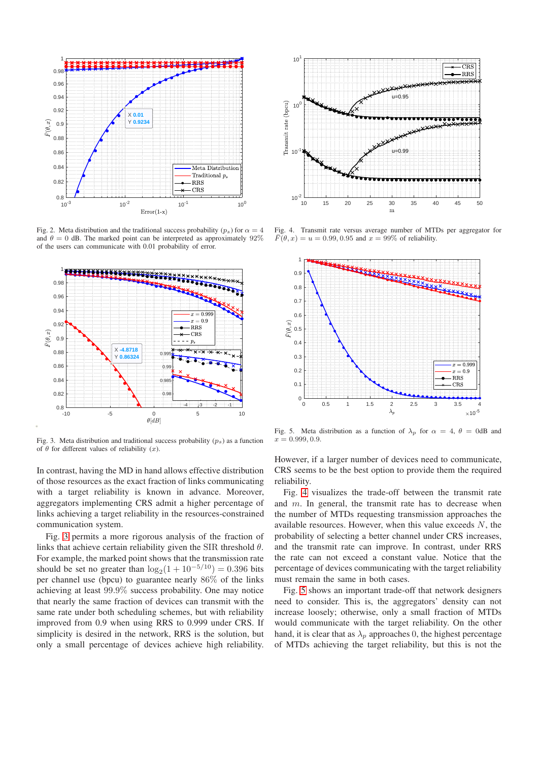

<span id="page-4-0"></span>Fig. 2. Meta distribution and the traditional success probability  $(p_s)$  for  $\alpha = 4$ and  $\theta = 0$  dB. The marked point can be interpreted as approximately 92% of the users can communicate with 0.01 probability of error.



<span id="page-4-1"></span>Fig. 3. Meta distribution and traditional success probability  $(p_s)$  as a function of  $\theta$  for different values of reliability  $(x)$ .

In contrast, having the MD in hand allows effective distribution of those resources as the exact fraction of links communicating with a target reliability is known in advance. Moreover, aggregators implementing CRS admit a higher percentage of links achieving a target reliability in the resources-constrained communication system.

Fig. [3](#page-4-1) permits a more rigorous analysis of the fraction of links that achieve certain reliability given the SIR threshold  $\theta$ . For example, the marked point shows that the transmission rate should be set no greater than  $\log_2(1 + 10^{-5/10}) = 0.396$  bits per channel use (bpcu) to guarantee nearly 86% of the links achieving at least 99.9% success probability. One may notice that nearly the same fraction of devices can transmit with the same rate under both scheduling schemes, but with reliability improved from 0.9 when using RRS to 0.999 under CRS. If simplicity is desired in the network, RRS is the solution, but only a small percentage of devices achieve high reliability.



<span id="page-4-2"></span>Fig. 4. Transmit rate versus average number of MTDs per aggregator for  $\overline{F}(\theta, x) = u = 0.99, 0.95$  and  $x = 99\%$  of reliability.



<span id="page-4-3"></span>Fig. 5. Meta distribution as a function of  $\lambda_p$  for  $\alpha = 4$ ,  $\theta = 0$ dB and  $x = 0.999, 0.9$ 

However, if a larger number of devices need to communicate, CRS seems to be the best option to provide them the required reliability.

Fig. [4](#page-4-2) visualizes the trade-off between the transmit rate and  $m$ . In general, the transmit rate has to decrease when the number of MTDs requesting transmission approaches the available resources. However, when this value exceeds  $N$ , the probability of selecting a better channel under CRS increases, and the transmit rate can improve. In contrast, under RRS the rate can not exceed a constant value. Notice that the percentage of devices communicating with the target reliability must remain the same in both cases.

Fig. [5](#page-4-3) shows an important trade-off that network designers need to consider. This is, the aggregators' density can not increase loosely; otherwise, only a small fraction of MTDs would communicate with the target reliability. On the other hand, it is clear that as  $\lambda_p$  approaches 0, the highest percentage of MTDs achieving the target reliability, but this is not the